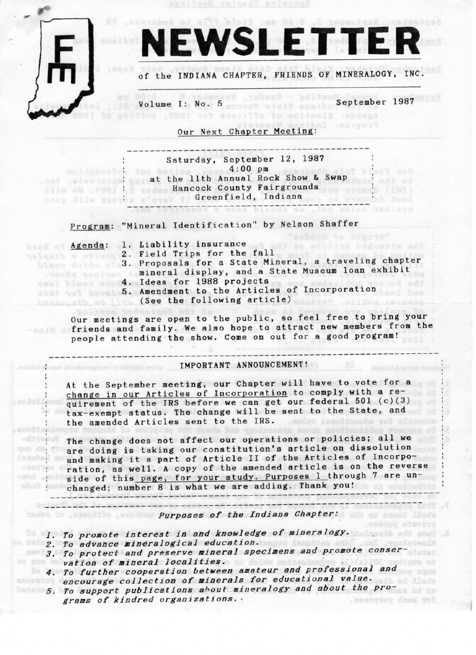

# NEWSLETTER

of the INDIANA CHAPTER, FRIENDS OF MINERALOGY, INC.

Volume I: No. 5 September 1987 salfies . SBEI tot aysollto to solicell :sheepA

> Chal thersor? Our Next Chapter Meeting:

\_\_\_\_\_----------------------------------\_-\_\_ Saturday, September 12, 1987 action of the believe mose 4:00 pm at the llth Annual Rock Show & Swap<br>
Mannual Rock Show & Swap<br>
Hancock County Fairgrounds Hancock County Fairgrounds Greenf ield, Indiana \_\_\_\_\_\_-----------------------------------\_\_

Program: "Mineral Identification" by Nelson Shaffer

**STERN** 

- 
- tessa a Agenda: 1. Liability insurance<br>2. Field Trips for the fall 2. FIEID IIIPS IOI LIE IAII<br>3. Proposals for a State Mineral, a traveling chapter mineral display, and a State Museum loan exhibit
	- 1. Ideas for 1988 projects
	- 5. Amendment to the Articles of Incorporation
	- (See the following article)

Our meetings are open to the public, so feel free to bring your friends and family. We also hope to attract new members from the people attending the show. Come on out for a good program!

# \_\_\_\_\_-----------------------------------------------------------\_\_\_-\_ IMPORTANT ANNOUNCEMENT!

At the September meeting, our Chapter will have to vote for a<br>change in our Articles of Incorporation to comply with a requirement of the IRS before we can get our federal  $501$  (c)(3) tax-exempt status. The change will be sent to the State, and<br>the amended Articles sent to the IRS. the amended Articles sent to the IRS.

The change does not affect our operations or policies; all we are doing is taking our constitution's article on dissolution and making it a part of Article 11 of the Articles of Incorporation, as well. A copy of the amended article is on the reverse<br>side of this page, for your study. Purposes 1 through 7 are unchanged; number 8 is what we are adding. Thank you! \_\_\_----------------------------------------------------------------\_-

Furposes of the Indiana Chapter:

 $\Box$ 

- 1. To promote interest in and knowledge of mineralogy.<br>2. To advance mineralogical education.<br>3. To protect and preserve mineral specimens and promote conser~ vation of mineral localities.
- 4. VTHOL ±fuu]]rtu#rHJc"oCo&ia-tvi-oaf -rf;t~#;en ama\_teur \_and \_p.raf e.s.s io.nal and -;n;;;r-age collectic}n of Einerals I or \_educati.c}n=1 v.al.u.a.
- 5. To support publications about mineralogy and about the pro-<br>srams of kindred organizations. grams of kindred organizations.  $,$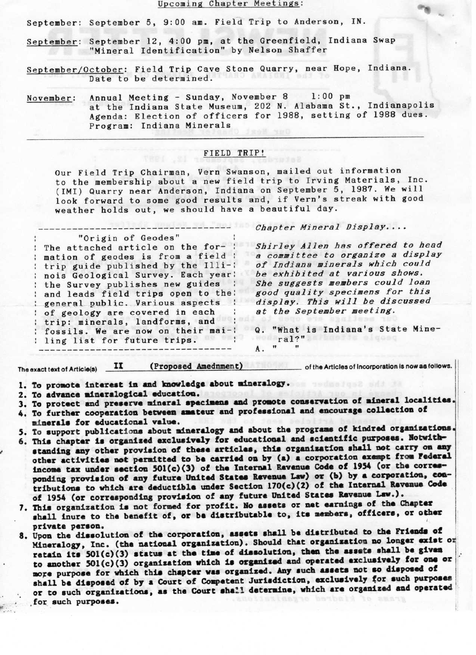#### Upcoming Chapter Meetings:

September: September 5, 9:00 am. Field Trip to Anderson, IN.

- September: September 12, 4:00 pm, at the Greenfield, Indiana Swap<br>"Mineral Identification" by Nelson Shaffer
- September/October: Field Trip Cave Stone Quarry, near Hope, Indiana. Date to be determined.
- November: Annual Meeting Sunday, November 8 1:00 pm at the Indiana State Museum, 202 N. Alabama St., Indianapolis Agenda: Election of officers for 1988, setting of 1988 dues. Program: Indiana Minerals

### FIELD TRIP!

Our Field Trip Chairman, Vern Swanson, mailed out information to the membership about a new field trip to Irving Materials, Inc. (IMI) Quarry near Anderson, Indiana on September 5, 1987. We will look forward to some good results and, if Vern's streak with good weather holds out, we should have a beautiful day.

Chapter Mineral Display....

"Origin of Geodes" The attached article on the for- : nation of geodes is from a field : trip guide published by the Illi-: nois Geological Survey. Each year: the Survey publishes new guides and leads field trips open to the; general public. Various aspects : of geology are covered in each trip: minerals, landforms, and fossils. We are now on their mai-: ling list for future trips. Iing list for future trips.<br>---------------------------------

-----------------,-.,-------------- \_ \_ \_

Shirley Allen has offered to head a committee to organize a display of Indiana minerals which could be exhibited at various shows. She suggests members could loan good quality specimens for this display. This will be discussed at the September meeting.

a. "What is Indiana's State Minex. mai?"<br>A. " "

Th®®xactt®xtofArt|c"e} J| \_ \_\_ (\_Propoee€\_ Abedqpen\_t.i\_\_\_\_ \_ \_\_\_\_\_\_ ofth.Artlcl®Soflncorporatk>nl.rovaefoltows.

\*.

- 1. To promote interest in and knowledge about mineralogy.<br>2. To advance mineralogical education. 1. To promote interest in and knowledge about mineralogy.<br>2. To advance mineralogical education.
- 
- 1. To advance and preserve mineral specimens and promote conservation of mineral localities
- 4. To further cooperation between amateur and professional and encourage collection of minerals for educational value.
- 5. To support publications about mineralogy and about the programs of kindred organizations
- 6. This chapter is organized exclusively for educational and scientific purposes. Notwithstanding any other provision of these articles, this organization shall not carry on any other activities not permitted to be carried on by (a) a corporation exampt from Federal income tax under section  $501(c)(3)$  of the Internal Revenue Code of 1954 (or the corresponding provision of any future United States Revenue Law) or (b) by a corporation, con $tributions$  to which are deductible under Section  $170(c)(2)$  of the Internal Revenue Code of 1954 (or corresponding provision of any future United States Revenue Law.).
- 7. This organization is not formed for profit. No assets or net earnings of the Chapter shall inure to the benefit of, or be distributable to, its members, officers, or other private person.
- Mineralogy, Inc. (the national organization). Should that organization no longer exist or retain its 50l(c)(3) status at the time of dissolution, then the assets shall be given 8. Upon the dissolution of the corporation, assets shall be distributed to the Friends of to another 501(c)(3) organization which is organized and operated exclusively for one or more purpose for which this chapter was organized. Any such assets not so disposed of shall be disposed of by a Court of Competent Jurisdiction, exclusively for such purposes or to such organizations, as the Court shall determine, which are organized and operated for such purposes.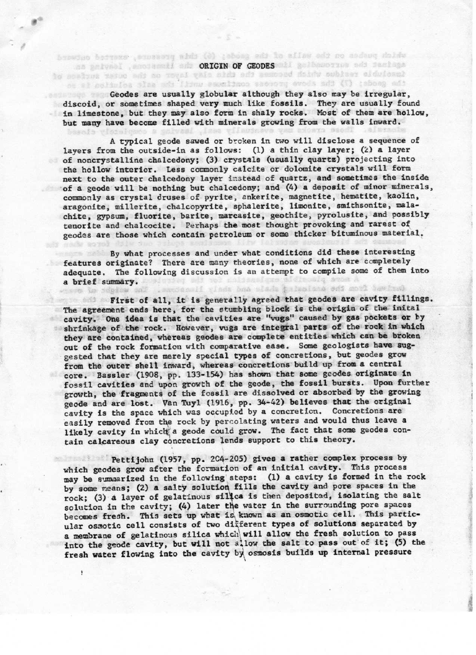Geodes are usually globular although they also may be irregular. discoid, or sometimes shaped very much like fossils. They are usually found in limestone, but they may also form in shaly rocks. Most of them are hollow. but many have become filled with minerals growing from the walls inward.

browten betraxs , success abds (0) ; shong ods to aflaw ods no andeug doidw as galvael , sociesall sid ORIGIN OF GEODES all galbasorius sis facisas is active residue which becomes the this alsy layer on the subject such an ot al solimina sina ads lismu eseminmos securi com ads (1) :ebona ads

A typical geode sawed or broken in two will disclose a sequence of layers from the outside-in as follows: (1) a thin clay layer; (2) a layer of noncrystalline chalcedony; (3) crystals (usually quartz) projecting into the hollow interior. Less commonly calcite or dolomite crystals will form next to the outer chalcedony layer instead of quartz, and sometimes the inside of a geode will be nothing but chalcedony; and (4) a deposit of minor minerals, commonly as crystal druses of pyrite, ankerite, magnetite, hematite, kaolin, aragonite, millerite, chalcopyrite, sphalerite, limonite, smithsonite, malachite, gypsum, fluorite, barite, marcasite, geothite, pyrolusite, and possibly tenorite and chalcocite. Perhaps the most thought provoking and rarest of geodes are those which contain petroleum or some thicker bituminous material.

By what processes and under what conditions did these interesting features originate? There are many theories, none of which are completely adequate. The following discussion is an attempt to compile some of them into a brief summary. saccered visda bna siada intenione edi movi tembral

tion in Sching only

First of all, it is generally agreed that geodes are cavity fillings. The agreement ends here, for the stumbling block is the origin of the inital cavity. One idea is that the cavities are "vugs" caused by gas pockets or by shrinkage of the rock. However, vugs are integral parts of the rock in which they are contained, whereas geodes are complete entities which can be broken out of the rock formation with comparative ease. Some geologists have suggested that they are merely special types of concretions, but geodes grow from the outer shell inward, whereas concretions build up from a central core. Bassler (1908, pp. 133-154) has shown that some geodes originate in fossil cavities and upon growth of the geode, the fossil bursts. Upon further growth, the fragments of the fossil are dissolved or absorbed by the growing geode and are lost. Van Tuyl (1916, pp. 34-42) believes that the original cavity is the space which was occupied by a concretion. Concretions are easily removed from the rock by percolating waters and would thus leave a likely cavity in which a geode could grow. The fact that some geodes contain calcareous clay concretions lends support to this theory.

Pettijohn (1957, pp. 204-205) gives a rather complex process by which geodes grow after the formation of an initial cavity. This process may be summarized in the following steps: (1) a cavity is formed in the rock by some means; (2) a salty solution fills the cavity and pore spaces in the rock; (3) a layer of gelatinous silica is then deposited, isolating the salt solution in the cavity; (4) later the water in the surrounding pore spaces becomes fresh. This sets up what is known as an osmotic cell. This particular osmotic cell consists of two different types of solutions separated by a membrane of gelatinous silica which will allow the fresh solution to pass into the geode cavity, but will not allow the salt to pass out of it; (5) the fresh water flowing into the cavity by osmosis builds up internal pressure